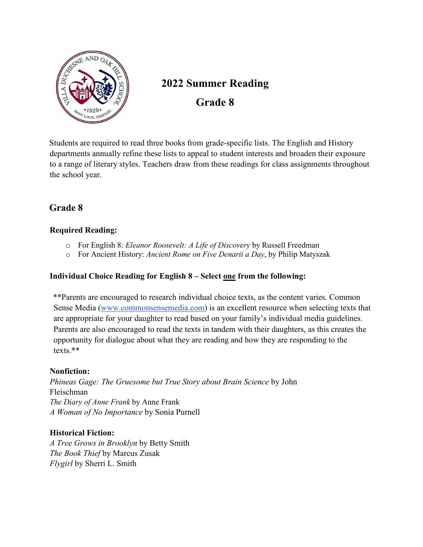

# **2022 Summer Reading Grade 8**

Students are required to read three books from grade-specific lists. The English and History departments annually refine these lists to appeal to student interests and broaden their exposure to a range of literary styles. Teachers draw from these readings for class assignments throughout the school year.

## **Grade 8**

## **Required Reading:**

- o For English 8: *Eleanor Roosevelt: A Life of Discovery* by Russell Freedman
- o For Ancient History: *Ancient Rome on Five Denarii a Day*, by Philip Matyszak

## **Individual Choice Reading for English 8 – Select one from the following:**

\*\*Parents are encouraged to research individual choice texts, as the content varies. Common Sense Media [\(www.commonsensemedia.com\)](http://www.commonsensemedia.com/) is an excellent resource when selecting texts that are appropriate for your daughter to read based on your family's individual media guidelines. Parents are also encouraged to read the texts in tandem with their daughters, as this creates the opportunity for dialogue about what they are reading and how they are responding to the texts.\*\*

## **Nonfiction:**

*Phineas Gage: The Gruesome but True Story about Brain Science* by John Fleischman *The Diary of Anne Frank* by Anne Frank *A Woman of No Importance* by Sonia Purnell

## **Historical Fiction:**

*A Tree Grows in Brooklyn* by Betty Smith *The Book Thief* by Marcus Zusak *Flygirl* by Sherri L. Smith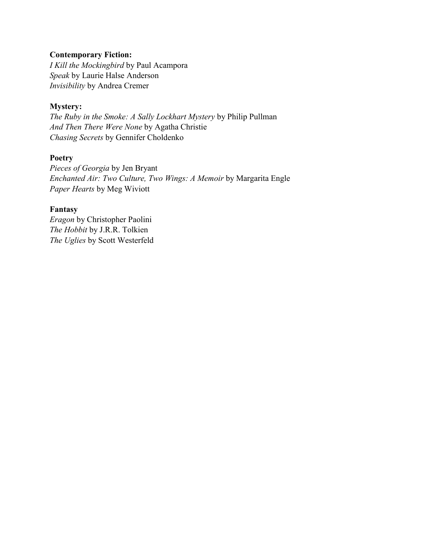## **Contemporary Fiction:**

*I Kill the Mockingbird* by Paul Acampora *Speak* by Laurie Halse Anderson *Invisibility* by Andrea Cremer

#### **Mystery:**

*The Ruby in the Smoke: A Sally Lockhart Mystery* by Philip Pullman *And Then There Were None* by Agatha Christie *Chasing Secrets* by Gennifer Choldenko

#### **Poetry**

*Pieces of Georgia* by Jen Bryant *Enchanted Air: Two Culture, Two Wings: A Memoir* by Margarita Engle *Paper Hearts* by Meg Wiviott

#### **Fantasy**

*Eragon* by Christopher Paolini *The Hobbit* by J.R.R. Tolkien *The Uglies* by Scott Westerfeld